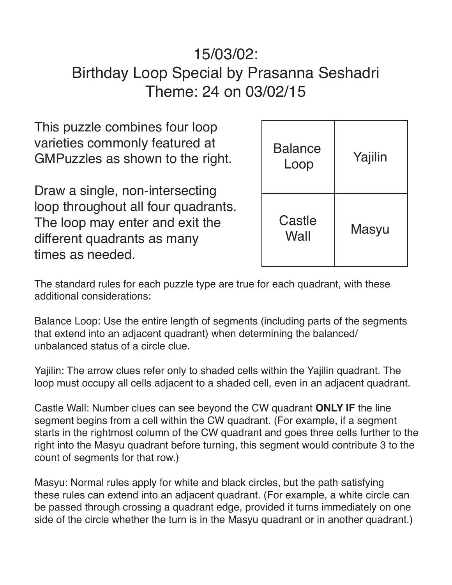## 15/03/02: Birthday Loop Special by Prasanna Seshadri Theme: 24 on 03/02/15

This puzzle combines four loop varieties commonly featured at GMPuzzles as shown to the right.

Draw a single, non-intersecting loop throughout all four quadrants. The loop may enter and exit the different quadrants as many times as needed.

| <b>Balance</b><br>Loop | Yajilin |
|------------------------|---------|
| Castle<br>Wall         | Masyu   |

The standard rules for each puzzle type are true for each quadrant, with these additional considerations:

Balance Loop: Use the entire length of segments (including parts of the segments that extend into an adjacent quadrant) when determining the balanced/ unbalanced status of a circle clue.

Yajilin: The arrow clues refer only to shaded cells within the Yajilin quadrant. The loop must occupy all cells adjacent to a shaded cell, even in an adjacent quadrant.

Castle Wall: Number clues can see beyond the CW quadrant **ONLY IF** the line segment begins from a cell within the CW quadrant. (For example, if a segment starts in the rightmost column of the CW quadrant and goes three cells further to the right into the Masyu quadrant before turning, this segment would contribute 3 to the count of segments for that row.)

Masyu: Normal rules apply for white and black circles, but the path satisfying these rules can extend into an adjacent quadrant. (For example, a white circle can be passed through crossing a quadrant edge, provided it turns immediately on one side of the circle whether the turn is in the Masyu quadrant or in another quadrant.)